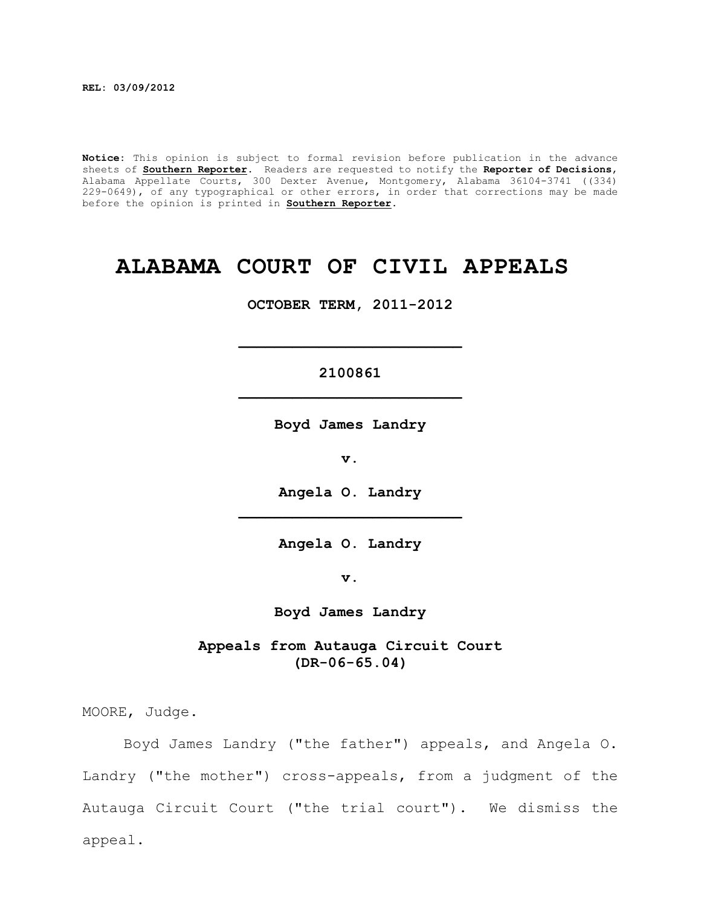**REL: 03/09/2012**

**Notice:** This opinion is subject to formal revision before publication in the advance sheets of **Southern Reporter**. Readers are requested to notify the **Reporter of Decisions**, Alabama Appellate Courts, 300 Dexter Avenue, Montgomery, Alabama 36104-3741 ((334) 229-0649), of any typographical or other errors, in order that corrections may be made before the opinion is printed in **Southern Reporter**.

# **ALABAMA COURT OF CIVIL APPEALS**

**OCTOBER TERM, 2011-2012**

# **2100861 \_\_\_\_\_\_\_\_\_\_\_\_\_\_\_\_\_\_\_\_\_\_\_\_\_**

**\_\_\_\_\_\_\_\_\_\_\_\_\_\_\_\_\_\_\_\_\_\_\_\_\_**

**Boyd James Landry**

**v.**

**Angela O. Landry \_\_\_\_\_\_\_\_\_\_\_\_\_\_\_\_\_\_\_\_\_\_\_\_\_**

**Angela O. Landry**

**v.**

**Boyd James Landry**

**Appeals from Autauga Circuit Court (DR-06-65.04)**

MOORE, Judge.

Boyd James Landry ("the father") appeals, and Angela O. Landry ("the mother") cross-appeals, from a judgment of the Autauga Circuit Court ("the trial court"). We dismiss the appeal.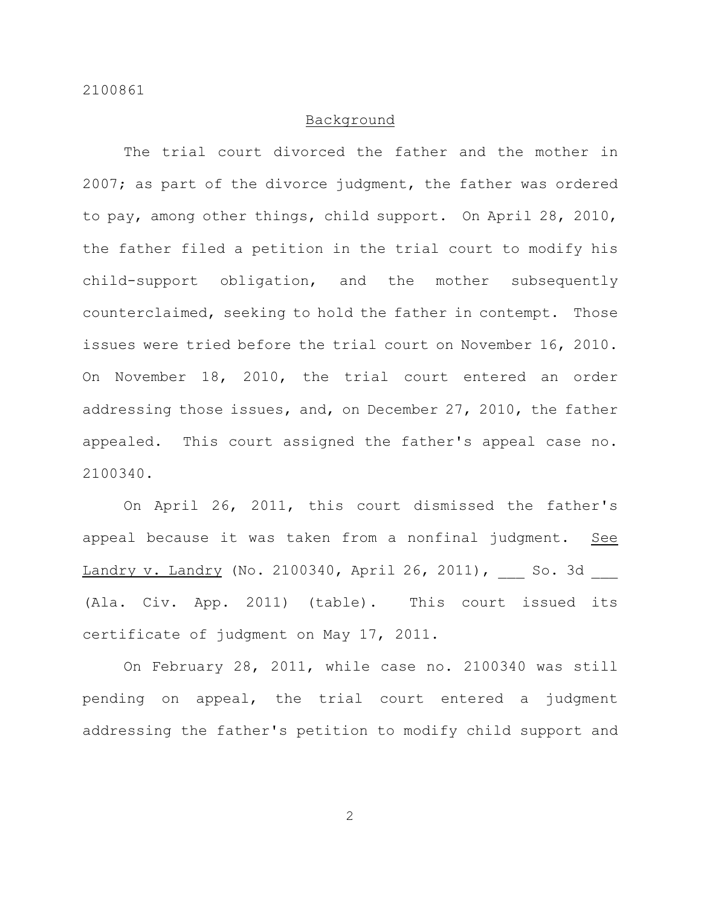# Background

The trial court divorced the father and the mother in 2007; as part of the divorce judgment, the father was ordered to pay, among other things, child support. On April 28, 2010, the father filed a petition in the trial court to modify his child-support obligation, and the mother subsequently counterclaimed, seeking to hold the father in contempt. Those issues were tried before the trial court on November 16, 2010. On November 18, 2010, the trial court entered an order addressing those issues, and, on December 27, 2010, the father appealed. This court assigned the father's appeal case no. 2100340.

On April 26, 2011, this court dismissed the father's appeal because it was taken from a nonfinal judgment. See Landry v. Landry (No. 2100340, April 26, 2011), So. 3d (Ala. Civ. App. 2011) (table). This court issued its certificate of judgment on May 17, 2011.

On February 28, 2011, while case no. 2100340 was still pending on appeal, the trial court entered a judgment addressing the father's petition to modify child support and

2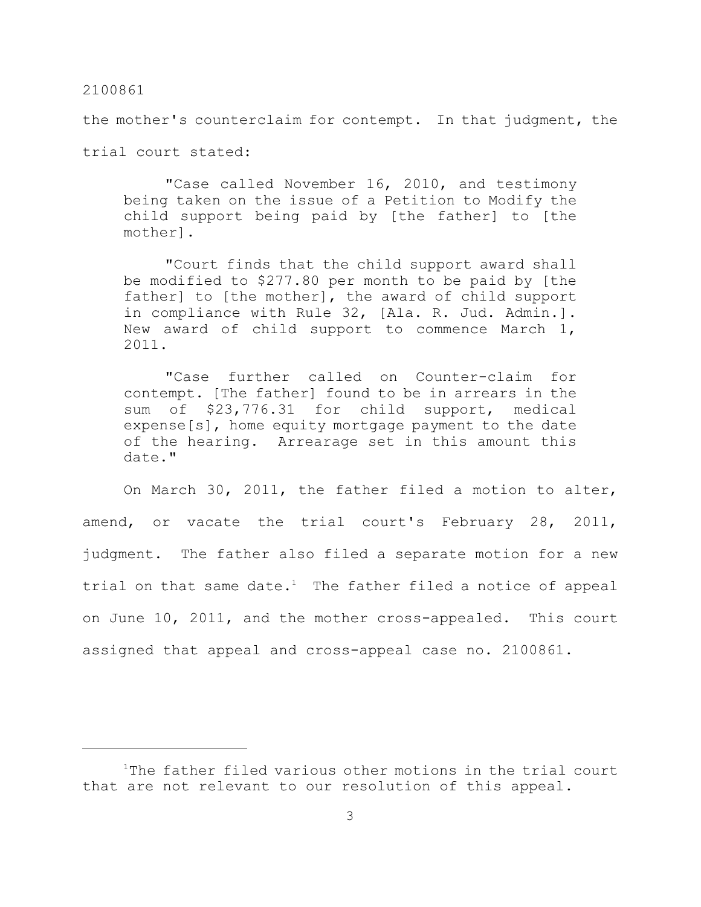#### 2100861

the mother's counterclaim for contempt. In that judgment, the

trial court stated:

"Case called November 16, 2010, and testimony being taken on the issue of a Petition to Modify the child support being paid by [the father] to [the mother].

"Court finds that the child support award shall be modified to \$277.80 per month to be paid by [the father] to [the mother], the award of child support in compliance with Rule 32, [Ala. R. Jud. Admin.]. New award of child support to commence March 1, 2011.

"Case further called on Counter-claim for contempt. [The father] found to be in arrears in the sum of \$23,776.31 for child support, medical expense[s], home equity mortgage payment to the date of the hearing. Arrearage set in this amount this date."

On March 30, 2011, the father filed a motion to alter, amend, or vacate the trial court's February 28, 2011, judgment. The father also filed a separate motion for a new trial on that same date.<sup>1</sup> The father filed a notice of appeal on June 10, 2011, and the mother cross-appealed. This court assigned that appeal and cross-appeal case no. 2100861.

 $1$ The father filed various other motions in the trial court that are not relevant to our resolution of this appeal.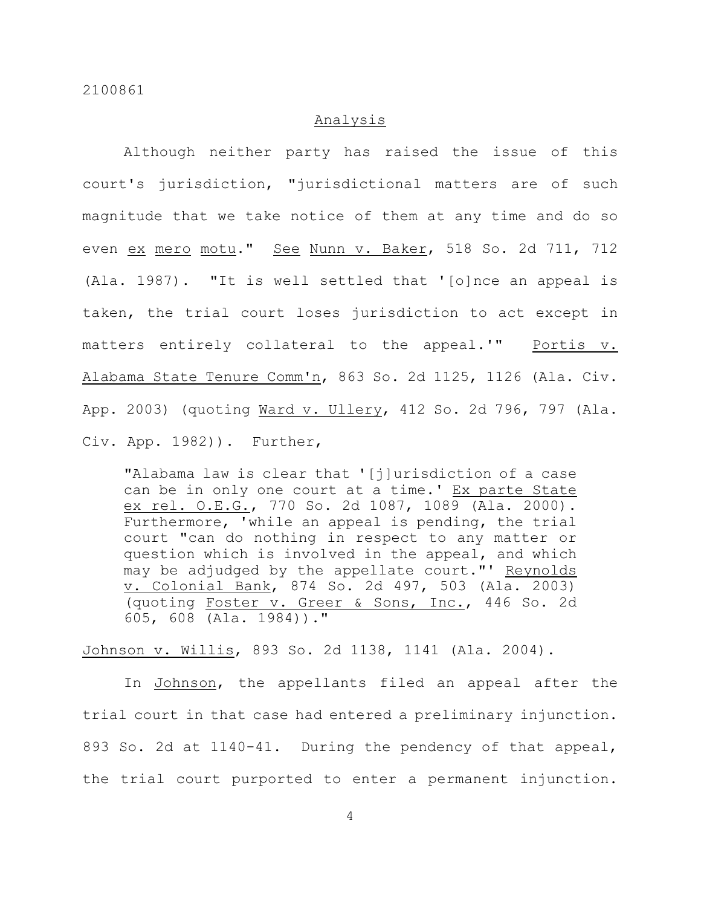# Analysis

Although neither party has raised the issue of this court's jurisdiction, "jurisdictional matters are of such magnitude that we take notice of them at any time and do so even ex mero motu." See Nunn v. Baker, 518 So. 2d 711, 712 (Ala. 1987). "It is well settled that '[o]nce an appeal is taken, the trial court loses jurisdiction to act except in matters entirely collateral to the appeal.'" Portis v. Alabama State Tenure Comm'n, 863 So. 2d 1125, 1126 (Ala. Civ. App. 2003) (quoting Ward v. Ullery, 412 So. 2d 796, 797 (Ala. Civ. App. 1982)). Further,

"Alabama law is clear that '[j]urisdiction of a case can be in only one court at a time.' Ex parte State ex rel. O.E.G., 770 So. 2d 1087, 1089 (Ala. 2000). Furthermore, 'while an appeal is pending, the trial court "can do nothing in respect to any matter or question which is involved in the appeal, and which may be adjudged by the appellate court."' Reynolds v. Colonial Bank, 874 So. 2d 497, 503 (Ala. 2003) (quoting Foster v. Greer & Sons, Inc., 446 So. 2d 605, 608 (Ala. 1984))."

Johnson v. Willis, 893 So. 2d 1138, 1141 (Ala. 2004).

In Johnson, the appellants filed an appeal after the trial court in that case had entered a preliminary injunction. 893 So. 2d at 1140-41. During the pendency of that appeal, the trial court purported to enter a permanent injunction.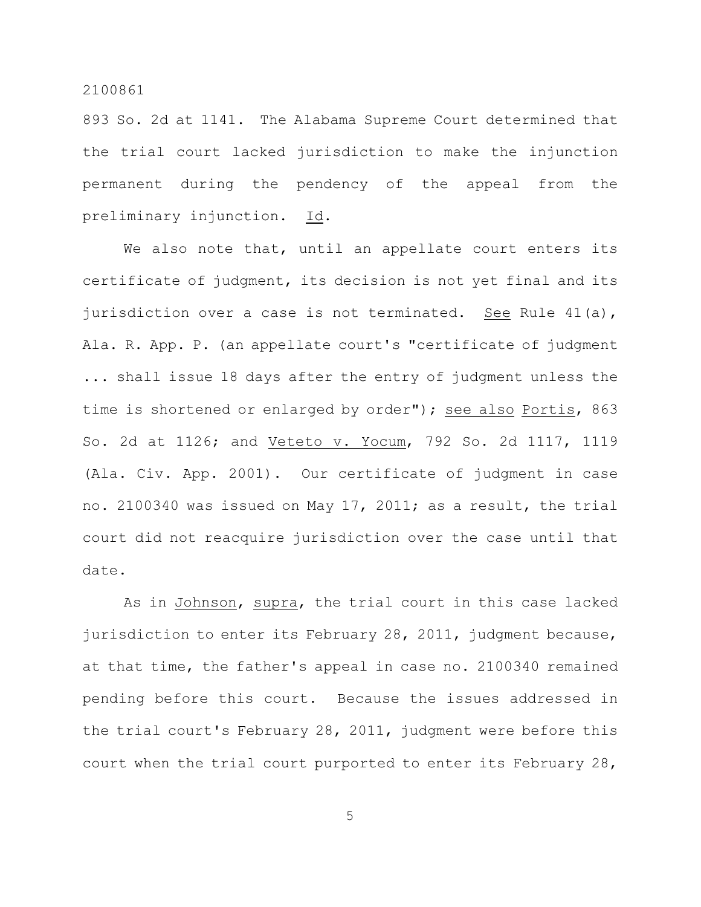### 2100861

893 So. 2d at 1141. The Alabama Supreme Court determined that the trial court lacked jurisdiction to make the injunction permanent during the pendency of the appeal from the preliminary injunction. Id.

We also note that, until an appellate court enters its certificate of judgment, its decision is not yet final and its jurisdiction over a case is not terminated. See Rule 41(a), Ala. R. App. P. (an appellate court's "certificate of judgment ... shall issue 18 days after the entry of judgment unless the time is shortened or enlarged by order"); see also Portis, 863 So. 2d at 1126; and Veteto v. Yocum, 792 So. 2d 1117, 1119 (Ala. Civ. App. 2001). Our certificate of judgment in case no. 2100340 was issued on May 17, 2011; as a result, the trial court did not reacquire jurisdiction over the case until that date.

As in Johnson, supra, the trial court in this case lacked jurisdiction to enter its February 28, 2011, judgment because, at that time, the father's appeal in case no. 2100340 remained pending before this court. Because the issues addressed in the trial court's February 28, 2011, judgment were before this court when the trial court purported to enter its February 28,

5